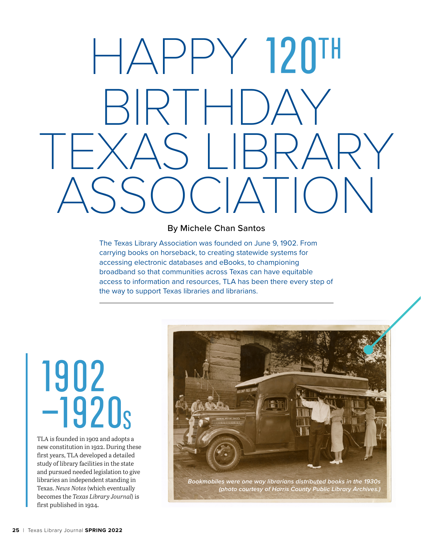# HAPPY 120TH BIRTHDAY<br>XAS I IRRARY S I BE  $($   $|\triangle|$   $|\triangle|$   $|\triangle|$

#### By Michele Chan Santos

The Texas Library Association was founded on June 9, 1902. From carrying books on horseback, to creating statewide systems for accessing electronic databases and eBooks, to championing broadband so that communities across Texas can have equitable access to information and resources, TLA has been there every step of the way to support Texas libraries and librarians.

#### 1902 –1920s

TLA is founded in 1902 and adopts a new constitution in 1922. During these first years, TLA developed a detailed study of library facilities in the state and pursued needed legislation to give libraries an independent standing in Texas. *News Notes* (which eventually becomes the *Texas Library Journal*) is first published in 1924.